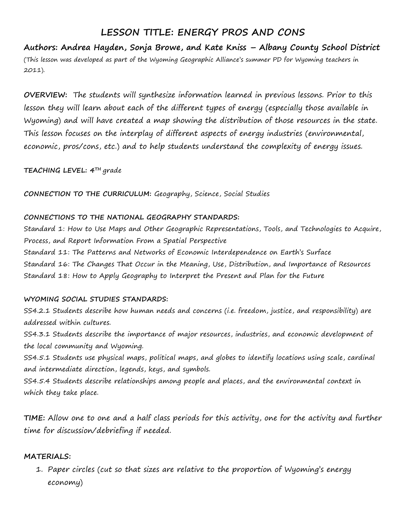# **LESSON TITLE: ENERGY PROS AND CONS**

**Authors: Andrea Hayden, Sonja Browe, and Kate Kniss – Albany County School District** (This lesson was developed as part of the Wyoming Geographic Alliance's summer PD for Wyoming teachers in 2011).

**OVERVIEW:** The students will synthesize information learned in previous lessons. Prior to this lesson they will learn about each of the different types of energy (especially those available in Wyoming) and will have created a map showing the distribution of those resources in the state. This lesson focuses on the interplay of different aspects of energy industries (environmental, economic, pros/cons, etc.) and to help students understand the complexity of energy issues.

**TEACHING LEVEL: 4TH** grade

**CONNECTION TO THE CURRICULUM:** Geography, Science, Social Studies

#### **CONNECTIONS TO THE NATIONAL GEOGRAPHY STANDARDS:**

Standard 1: How to Use Maps and Other Geographic Representations, Tools, and Technologies to Acquire, Process, and Report Information From a Spatial Perspective Standard 11: The Patterns and Networks of Economic Interdependence on Earth's Surface Standard 16: The Changes That Occur in the Meaning, Use, Distribution, and Importance of Resources Standard 18: How to Apply Geography to Interpret the Present and Plan for the Future

### **WYOMING SOCIAL STUDIES STANDARDS:**

SS4.2.1 Students describe how human needs and concerns (i.e. freedom, justice, and responsibility) are addressed within cultures.

SS4.3.1 Students describe the importance of major resources, industries, and economic development of the local community and Wyoming.

SS4.5.1 Students use physical maps, political maps, and globes to identify locations using scale, cardinal and intermediate direction, legends, keys, and symbols.

SS4.5.4 Students describe relationships among people and places, and the environmental context in which they take place.

**TIME:** Allow one to one and a half class periods for this activity, one for the activity and further time for discussion/debriefing if needed.

### **MATERIALS:**

1. Paper circles (cut so that sizes are relative to the proportion of Wyoming's energy economy)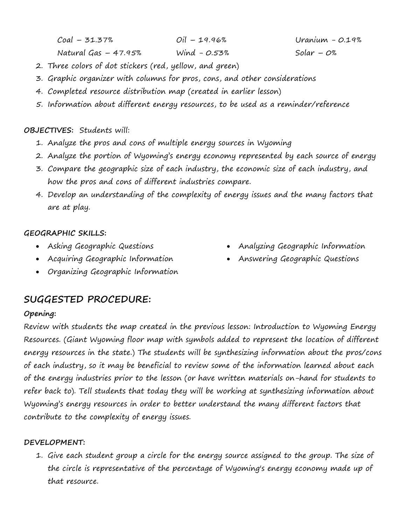Coal – 31.37% Natural Gas – 47.95% Oil – 19.96% Wind - 0.53%

Uranium - 0.19% Solar –  $O\%$ 

- 2. Three colors of dot stickers (red, yellow, and green)
- 3. Graphic organizer with columns for pros, cons, and other considerations
- 4. Completed resource distribution map (created in earlier lesson)
- 5. Information about different energy resources, to be used as a reminder/reference

### **OBJECTIVES:** Students will:

- 1. Analyze the pros and cons of multiple energy sources in Wyoming
- 2. Analyze the portion of Wyoming's energy economy represented by each source of energy
- 3. Compare the geographic size of each industry, the economic size of each industry, and how the pros and cons of different industries compare.
- 4. Develop an understanding of the complexity of energy issues and the many factors that are at play.

## **GEOGRAPHIC SKILLS:**

- Asking Geographic Questions
- Acquiring Geographic Information
- Organizing Geographic Information

# **SUGGESTED PROCEDURE:**

# **Opening:**

Review with students the map created in the previous lesson: Introduction to Wyoming Energy Resources. (Giant Wyoming floor map with symbols added to represent the location of different energy resources in the state.) The students will be synthesizing information about the pros/cons of each industry, so it may be beneficial to review some of the information learned about each of the energy industries prior to the lesson (or have written materials on-hand for students to refer back to). Tell students that today they will be working at synthesizing information about Wyoming's energy resources in order to better understand the many different factors that contribute to the complexity of energy issues.

### **DEVELOPMENT:**

1. Give each student group a circle for the energy source assigned to the group. The size of the circle is representative of the percentage of Wyoming's energy economy made up of that resource.

- Analyzing Geographic Information
- Answering Geographic Questions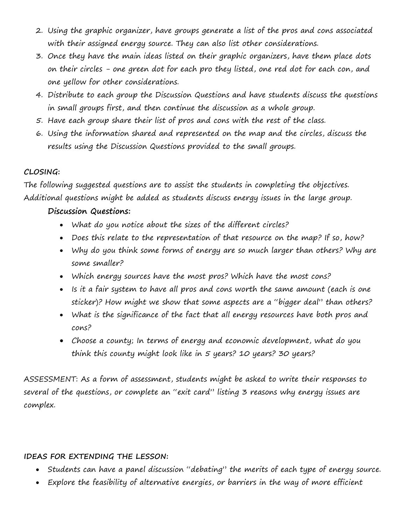- 2. Using the graphic organizer, have groups generate a list of the pros and cons associated with their assigned energy source. They can also list other considerations.
- 3. Once they have the main ideas listed on their graphic organizers, have them place dots on their circles - one green dot for each pro they listed, one red dot for each con, and one yellow for other considerations.
- 4. Distribute to each group the Discussion Questions and have students discuss the questions in small groups first, and then continue the discussion as a whole group.
- 5. Have each group share their list of pros and cons with the rest of the class.
- 6. Using the information shared and represented on the map and the circles, discuss the results using the Discussion Questions provided to the small groups.

### **CLOSING:**

The following suggested questions are to assist the students in completing the objectives. Additional questions might be added as students discuss energy issues in the large group.

### **Discussion Questions:**

- What do you notice about the sizes of the different circles?
- Does this relate to the representation of that resource on the map? If so, how?
- Why do you think some forms of energy are so much larger than others? Why are some smaller?
- Which energy sources have the most pros? Which have the most cons?
- Is it a fair system to have all pros and cons worth the same amount (each is one sticker)? How might we show that some aspects are a "bigger deal" than others?
- What is the significance of the fact that all energy resources have both pros and cons?
- Choose a county; In terms of energy and economic development, what do you think this county might look like in 5 years? 10 years? 30 years?

ASSESSMENT: As a form of assessment, students might be asked to write their responses to several of the questions, or complete an "exit card" listing 3 reasons why energy issues are complex.

### **IDEAS FOR EXTENDING THE LESSON:**

- Students can have a panel discussion "debating" the merits of each type of energy source.
- Explore the feasibility of alternative energies, or barriers in the way of more efficient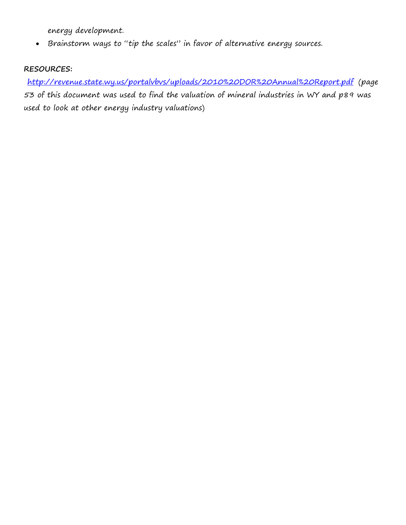energy development.

• Brainstorm ways to "tip the scales" in favor of alternative energy sources.

## **RESOURCES:**

<http://revenue.state.wy.us/portalvbvs/uploads/2010%20DOR%20Annual%20Report.pdf> (page 53 of this document was used to find the valuation of mineral industries in WY and p89 was used to look at other energy industry valuations)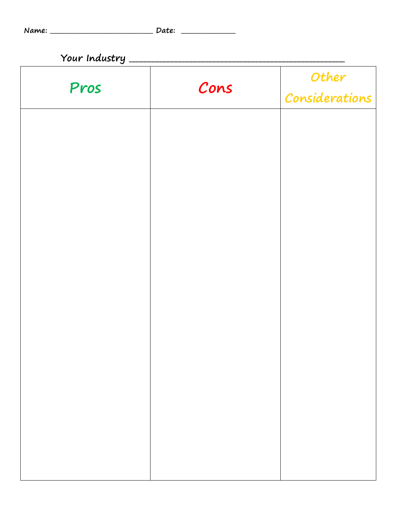|  | Name: |  |
|--|-------|--|

| Your Industry _ |      |                         |  |  |  |
|-----------------|------|-------------------------|--|--|--|
| Pros            | Cons | Other<br>Considerations |  |  |  |
|                 |      |                         |  |  |  |
|                 |      |                         |  |  |  |
|                 |      |                         |  |  |  |
|                 |      |                         |  |  |  |
|                 |      |                         |  |  |  |
|                 |      |                         |  |  |  |
|                 |      |                         |  |  |  |
|                 |      |                         |  |  |  |
|                 |      |                         |  |  |  |